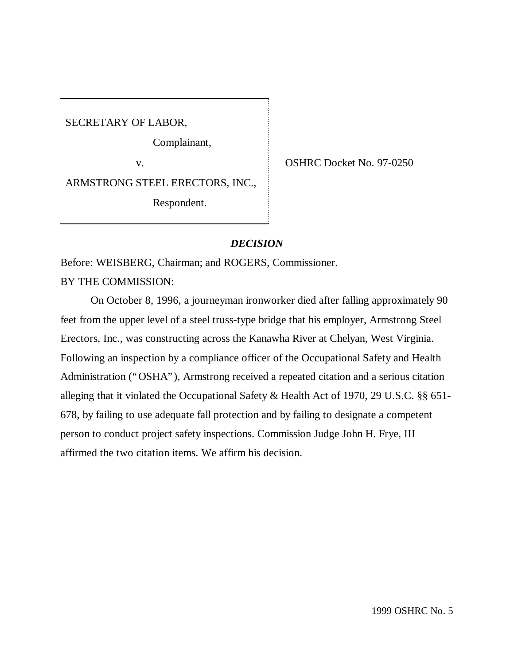SECRETARY OF LABOR,

Complainant,

v. SHRC Docket No. 97-0250

ARMSTRONG STEEL ERECTORS, INC.,

Respondent.

# *DECISION*

Before: WEISBERG, Chairman; and ROGERS, Commissioner.

BY THE COMMISSION:

On October 8, 1996, a journeyman ironworker died after falling approximately 90 feet from the upper level of a steel truss-type bridge that his employer, Armstrong Steel Erectors, Inc., was constructing across the Kanawha River at Chelyan, West Virginia. Following an inspection by a compliance officer of the Occupational Safety and Health Administration ("OSHA"), Armstrong received a repeated citation and a serious citation alleging that it violated the Occupational Safety & Health Act of 1970, 29 U.S.C. §§ 651- 678, by failing to use adequate fall protection and by failing to designate a competent person to conduct project safety inspections. Commission Judge John H. Frye, III affirmed the two citation items. We affirm his decision.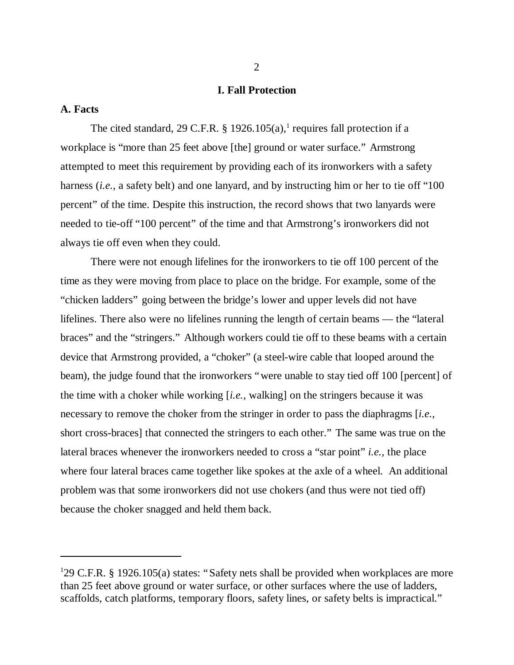## **I. Fall Protection**

## **A. Facts**

The cited standard, 29 C.F.R. § 1926.105 $(a)$ , requires fall protection if a workplace is "more than 25 feet above [the] ground or water surface." Armstrong attempted to meet this requirement by providing each of its ironworkers with a safety harness *(i.e.,* a safety belt) and one lanyard, and by instructing him or her to tie off "100 percent" of the time. Despite this instruction, the record shows that two lanyards were needed to tie-off "100 percent" of the time and that Armstrong's ironworkers did not always tie off even when they could.

There were not enough lifelines for the ironworkers to tie off 100 percent of the time as they were moving from place to place on the bridge. For example, some of the "chicken ladders" going between the bridge's lower and upper levels did not have lifelines. There also were no lifelines running the length of certain beams — the "lateral braces" and the "stringers." Although workers could tie off to these beams with a certain device that Armstrong provided, a "choker" (a steel-wire cable that looped around the beam), the judge found that the ironworkers "were unable to stay tied off 100 [percent] of the time with a choker while working [*i.e.,* walking] on the stringers because it was necessary to remove the choker from the stringer in order to pass the diaphragms [*i.e.,* short cross-braces] that connected the stringers to each other." The same was true on the lateral braces whenever the ironworkers needed to cross a "star point" *i.e.,* the place where four lateral braces came together like spokes at the axle of a wheel. An additional problem was that some ironworkers did not use chokers (and thus were not tied off) because the choker snagged and held them back.

<sup>&</sup>lt;sup>1</sup>29 C.F.R. § 1926.105(a) states: "Safety nets shall be provided when workplaces are more than 25 feet above ground or water surface, or other surfaces where the use of ladders, scaffolds, catch platforms, temporary floors, safety lines, or safety belts is impractical."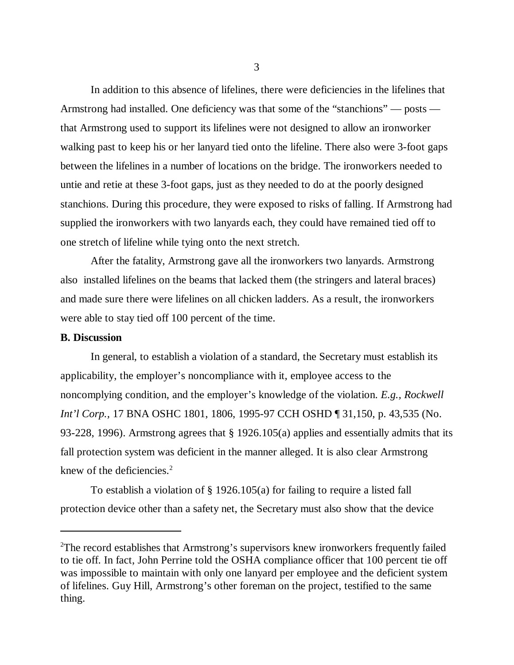In addition to this absence of lifelines, there were deficiencies in the lifelines that Armstrong had installed. One deficiency was that some of the "stanchions" — posts that Armstrong used to support its lifelines were not designed to allow an ironworker walking past to keep his or her lanyard tied onto the lifeline. There also were 3-foot gaps between the lifelines in a number of locations on the bridge. The ironworkers needed to untie and retie at these 3-foot gaps, just as they needed to do at the poorly designed stanchions. During this procedure, they were exposed to risks of falling. If Armstrong had supplied the ironworkers with two lanyards each, they could have remained tied off to one stretch of lifeline while tying onto the next stretch.

After the fatality, Armstrong gave all the ironworkers two lanyards. Armstrong also installed lifelines on the beams that lacked them (the stringers and lateral braces) and made sure there were lifelines on all chicken ladders. As a result, the ironworkers were able to stay tied off 100 percent of the time.

## **B. Discussion**

In general, to establish a violation of a standard, the Secretary must establish its applicability, the employer's noncompliance with it, employee access to the noncomplying condition, and the employer's knowledge of the violation. *E.g., Rockwell Int'l Corp.,* 17 BNA OSHC 1801, 1806, 1995-97 CCH OSHD ¶ 31,150, p. 43,535 (No. 93-228, 1996). Armstrong agrees that § 1926.105(a) applies and essentially admits that its fall protection system was deficient in the manner alleged. It is also clear Armstrong knew of the deficiencies. $2$ 

To establish a violation of § 1926.105(a) for failing to require a listed fall protection device other than a safety net, the Secretary must also show that the device

<sup>&</sup>lt;sup>2</sup>The record establishes that Armstrong's supervisors knew ironworkers frequently failed to tie off. In fact, John Perrine told the OSHA compliance officer that 100 percent tie off was impossible to maintain with only one lanyard per employee and the deficient system of lifelines. Guy Hill, Armstrong's other foreman on the project, testified to the same thing.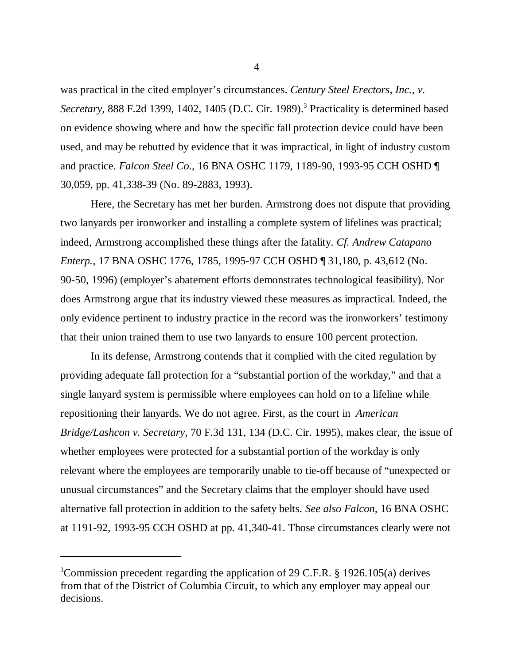was practical in the cited employer's circumstances. *Century Steel Erectors, Inc., v.* Secretary, 888 F.2d 1399, 1402, 1405 (D.C. Cir. 1989).<sup>3</sup> Practicality is determined based on evidence showing where and how the specific fall protection device could have been used, and may be rebutted by evidence that it was impractical, in light of industry custom and practice. *Falcon Steel Co.,* 16 BNA OSHC 1179, 1189-90, 1993-95 CCH OSHD ¶ 30,059, pp. 41,338-39 (No. 89-2883, 1993).

Here, the Secretary has met her burden. Armstrong does not dispute that providing two lanyards per ironworker and installing a complete system of lifelines was practical; indeed, Armstrong accomplished these things after the fatality. *Cf. Andrew Catapano Enterp.,* 17 BNA OSHC 1776, 1785, 1995-97 CCH OSHD ¶ 31,180, p. 43,612 (No. 90-50, 1996) (employer's abatement efforts demonstrates technological feasibility). Nor does Armstrong argue that its industry viewed these measures as impractical. Indeed, the only evidence pertinent to industry practice in the record was the ironworkers' testimony that their union trained them to use two lanyards to ensure 100 percent protection.

In its defense, Armstrong contends that it complied with the cited regulation by providing adequate fall protection for a "substantial portion of the workday," and that a single lanyard system is permissible where employees can hold on to a lifeline while repositioning their lanyards. We do not agree. First, as the court in *American Bridge/Lashcon v. Secretary,* 70 F.3d 131, 134 (D.C. Cir. 1995), makes clear, the issue of whether employees were protected for a substantial portion of the workday is only relevant where the employees are temporarily unable to tie-off because of "unexpected or unusual circumstances" and the Secretary claims that the employer should have used alternative fall protection in addition to the safety belts. *See also Falcon,* 16 BNA OSHC at 1191-92, 1993-95 CCH OSHD at pp. 41,340-41. Those circumstances clearly were not

<sup>3</sup>Commission precedent regarding the application of 29 C.F.R. § 1926.105(a) derives from that of the District of Columbia Circuit, to which any employer may appeal our decisions.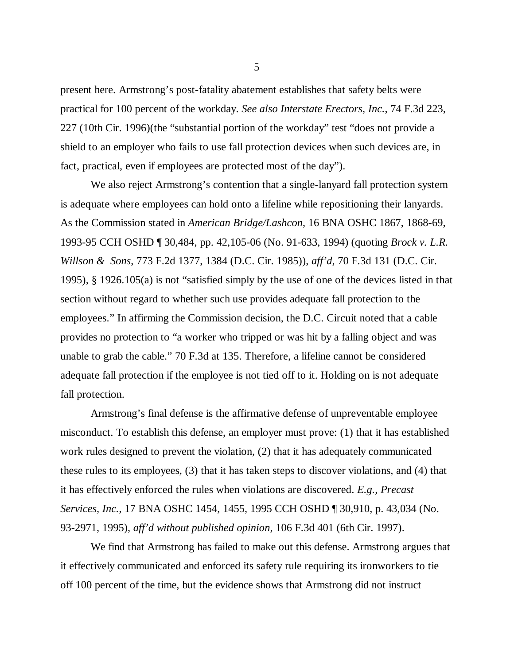present here. Armstrong's post-fatality abatement establishes that safety belts were practical for 100 percent of the workday. *See also Interstate Erectors, Inc.*, 74 F.3d 223, 227 (10th Cir. 1996)(the "substantial portion of the workday" test "does not provide a shield to an employer who fails to use fall protection devices when such devices are, in fact, practical, even if employees are protected most of the day").

We also reject Armstrong's contention that a single-lanyard fall protection system is adequate where employees can hold onto a lifeline while repositioning their lanyards. As the Commission stated in *American Bridge/Lashcon*, 16 BNA OSHC 1867, 1868-69, 1993-95 CCH OSHD ¶ 30,484, pp. 42,105-06 (No. 91-633, 1994) (quoting *Brock v. L.R. Willson & Sons*, 773 F.2d 1377, 1384 (D.C. Cir. 1985)), *aff'd*, 70 F.3d 131 (D.C. Cir. 1995), § 1926.105(a) is not "satisfied simply by the use of one of the devices listed in that section without regard to whether such use provides adequate fall protection to the employees." In affirming the Commission decision, the D.C. Circuit noted that a cable provides no protection to "a worker who tripped or was hit by a falling object and was unable to grab the cable." 70 F.3d at 135. Therefore, a lifeline cannot be considered adequate fall protection if the employee is not tied off to it. Holding on is not adequate fall protection.

Armstrong's final defense is the affirmative defense of unpreventable employee misconduct. To establish this defense, an employer must prove: (1) that it has established work rules designed to prevent the violation, (2) that it has adequately communicated these rules to its employees, (3) that it has taken steps to discover violations, and (4) that it has effectively enforced the rules when violations are discovered. *E.g., Precast Services, Inc.*, 17 BNA OSHC 1454, 1455, 1995 CCH OSHD ¶ 30,910, p. 43,034 (No. 93-2971, 1995), *aff'd without published opinion*, 106 F.3d 401 (6th Cir. 1997).

We find that Armstrong has failed to make out this defense. Armstrong argues that it effectively communicated and enforced its safety rule requiring its ironworkers to tie off 100 percent of the time, but the evidence shows that Armstrong did not instruct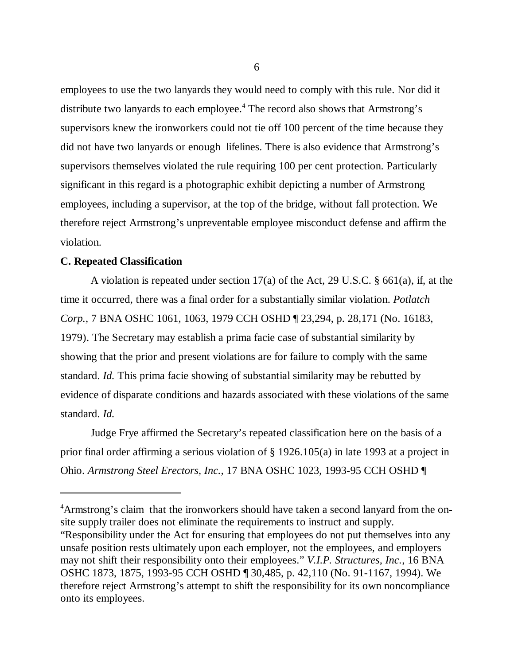employees to use the two lanyards they would need to comply with this rule. Nor did it distribute two lanyards to each employee.<sup>4</sup> The record also shows that Armstrong's supervisors knew the ironworkers could not tie off 100 percent of the time because they did not have two lanyards or enough lifelines. There is also evidence that Armstrong's supervisors themselves violated the rule requiring 100 per cent protection. Particularly significant in this regard is a photographic exhibit depicting a number of Armstrong employees, including a supervisor, at the top of the bridge, without fall protection. We therefore reject Armstrong's unpreventable employee misconduct defense and affirm the violation.

## **C. Repeated Classification**

A violation is repeated under section 17(a) of the Act, 29 U.S.C. § 661(a), if, at the time it occurred, there was a final order for a substantially similar violation. *Potlatch Corp.,* 7 BNA OSHC 1061, 1063, 1979 CCH OSHD ¶ 23,294, p. 28,171 (No. 16183, 1979). The Secretary may establish a prima facie case of substantial similarity by showing that the prior and present violations are for failure to comply with the same standard. *Id.* This prima facie showing of substantial similarity may be rebutted by evidence of disparate conditions and hazards associated with these violations of the same standard. *Id.*

Judge Frye affirmed the Secretary's repeated classification here on the basis of a prior final order affirming a serious violation of § 1926.105(a) in late 1993 at a project in Ohio. *Armstrong Steel Erectors, Inc.,* 17 BNA OSHC 1023, 1993-95 CCH OSHD ¶

<sup>4</sup>Armstrong's claim that the ironworkers should have taken a second lanyard from the onsite supply trailer does not eliminate the requirements to instruct and supply. "Responsibility under the Act for ensuring that employees do not put themselves into any unsafe position rests ultimately upon each employer, not the employees, and employers may not shift their responsibility onto their employees." *V.I.P. Structures, Inc.*, 16 BNA OSHC 1873, 1875, 1993-95 CCH OSHD ¶ 30,485, p. 42,110 (No. 91-1167, 1994). We therefore reject Armstrong's attempt to shift the responsibility for its own noncompliance onto its employees.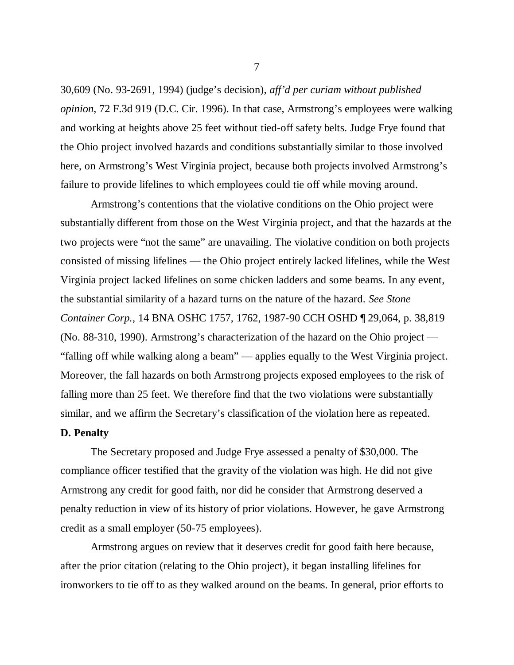30,609 (No. 93-2691, 1994) (judge's decision), *aff'd per curiam without published opinion*, 72 F.3d 919 (D.C. Cir. 1996). In that case, Armstrong's employees were walking and working at heights above 25 feet without tied-off safety belts. Judge Frye found that the Ohio project involved hazards and conditions substantially similar to those involved here, on Armstrong's West Virginia project, because both projects involved Armstrong's failure to provide lifelines to which employees could tie off while moving around.

Armstrong's contentions that the violative conditions on the Ohio project were substantially different from those on the West Virginia project, and that the hazards at the two projects were "not the same" are unavailing. The violative condition on both projects consisted of missing lifelines — the Ohio project entirely lacked lifelines, while the West Virginia project lacked lifelines on some chicken ladders and some beams. In any event, the substantial similarity of a hazard turns on the nature of the hazard. *See Stone Container Corp.,* 14 BNA OSHC 1757, 1762, 1987-90 CCH OSHD ¶ 29,064, p. 38,819 (No. 88-310, 1990). Armstrong's characterization of the hazard on the Ohio project — "falling off while walking along a beam" — applies equally to the West Virginia project. Moreover, the fall hazards on both Armstrong projects exposed employees to the risk of falling more than 25 feet. We therefore find that the two violations were substantially similar, and we affirm the Secretary's classification of the violation here as repeated.

## **D. Penalty**

The Secretary proposed and Judge Frye assessed a penalty of \$30,000. The compliance officer testified that the gravity of the violation was high. He did not give Armstrong any credit for good faith, nor did he consider that Armstrong deserved a penalty reduction in view of its history of prior violations. However, he gave Armstrong credit as a small employer (50-75 employees).

Armstrong argues on review that it deserves credit for good faith here because, after the prior citation (relating to the Ohio project), it began installing lifelines for ironworkers to tie off to as they walked around on the beams. In general, prior efforts to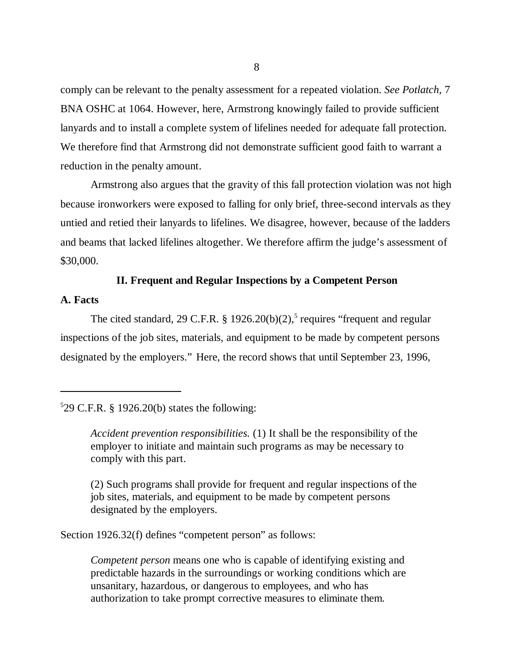comply can be relevant to the penalty assessment for a repeated violation. *See Potlatch,* 7 BNA OSHC at 1064. However, here, Armstrong knowingly failed to provide sufficient lanyards and to install a complete system of lifelines needed for adequate fall protection. We therefore find that Armstrong did not demonstrate sufficient good faith to warrant a reduction in the penalty amount.

Armstrong also argues that the gravity of this fall protection violation was not high because ironworkers were exposed to falling for only brief, three-second intervals as they untied and retied their lanyards to lifelines. We disagree, however, because of the ladders and beams that lacked lifelines altogether. We therefore affirm the judge's assessment of \$30,000.

## **II. Frequent and Regular Inspections by a Competent Person**

## **A. Facts**

The cited standard, 29 C.F.R. § 1926.20(b)(2),<sup>5</sup> requires "frequent and regular inspections of the job sites, materials, and equipment to be made by competent persons designated by the employers." Here, the record shows that until September 23, 1996,

## $529$  C.F.R. § 1926.20(b) states the following:

*Accident prevention responsibilities.* (1) It shall be the responsibility of the employer to initiate and maintain such programs as may be necessary to comply with this part.

(2) Such programs shall provide for frequent and regular inspections of the job sites, materials, and equipment to be made by competent persons designated by the employers.

Section 1926.32(f) defines "competent person" as follows:

*Competent person* means one who is capable of identifying existing and predictable hazards in the surroundings or working conditions which are unsanitary, hazardous, or dangerous to employees, and who has authorization to take prompt corrective measures to eliminate them.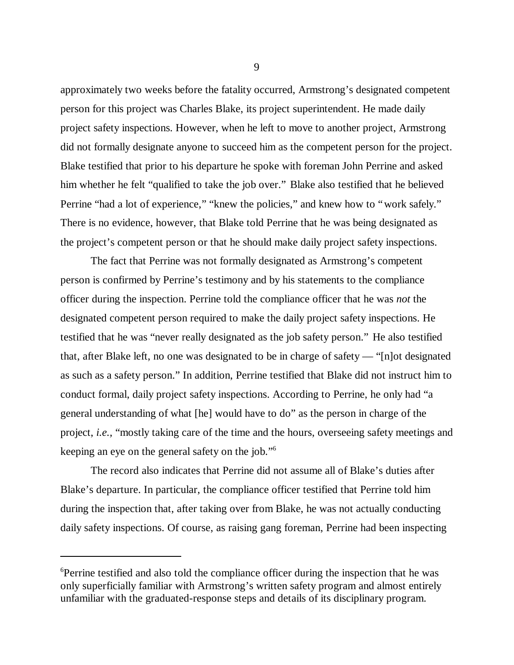approximately two weeks before the fatality occurred, Armstrong's designated competent person for this project was Charles Blake, its project superintendent. He made daily project safety inspections. However, when he left to move to another project, Armstrong did not formally designate anyone to succeed him as the competent person for the project. Blake testified that prior to his departure he spoke with foreman John Perrine and asked him whether he felt "qualified to take the job over." Blake also testified that he believed Perrine "had a lot of experience," "knew the policies," and knew how to "work safely." There is no evidence, however, that Blake told Perrine that he was being designated as the project's competent person or that he should make daily project safety inspections.

The fact that Perrine was not formally designated as Armstrong's competent person is confirmed by Perrine's testimony and by his statements to the compliance officer during the inspection. Perrine told the compliance officer that he was *not* the designated competent person required to make the daily project safety inspections. He testified that he was "never really designated as the job safety person." He also testified that, after Blake left, no one was designated to be in charge of safety — "[n]ot designated as such as a safety person." In addition, Perrine testified that Blake did not instruct him to conduct formal, daily project safety inspections. According to Perrine, he only had "a general understanding of what [he] would have to do" as the person in charge of the project, *i.e.,* "mostly taking care of the time and the hours, overseeing safety meetings and keeping an eye on the general safety on the job." 6

The record also indicates that Perrine did not assume all of Blake's duties after Blake's departure. In particular, the compliance officer testified that Perrine told him during the inspection that, after taking over from Blake, he was not actually conducting daily safety inspections. Of course, as raising gang foreman, Perrine had been inspecting

<sup>6</sup>Perrine testified and also told the compliance officer during the inspection that he was only superficially familiar with Armstrong's written safety program and almost entirely unfamiliar with the graduated-response steps and details of its disciplinary program.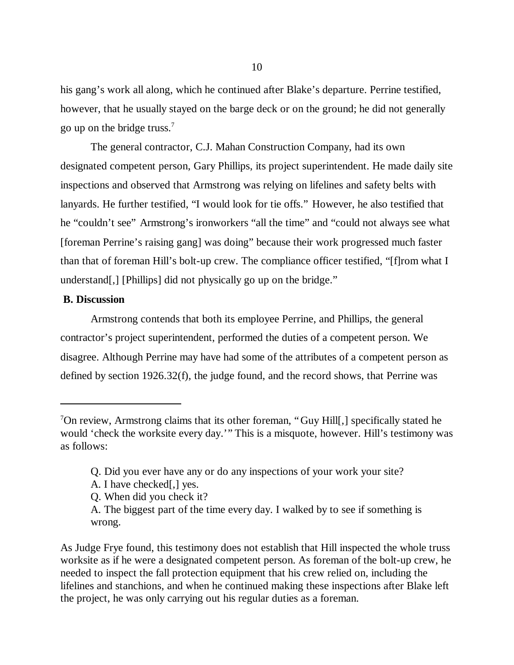his gang's work all along, which he continued after Blake's departure. Perrine testified, however, that he usually stayed on the barge deck or on the ground; he did not generally go up on the bridge truss.<sup>7</sup>

The general contractor, C.J. Mahan Construction Company, had its own designated competent person, Gary Phillips, its project superintendent. He made daily site inspections and observed that Armstrong was relying on lifelines and safety belts with lanyards. He further testified, "I would look for tie offs." However, he also testified that he "couldn't see" Armstrong's ironworkers "all the time" and "could not always see what [foreman Perrine's raising gang] was doing" because their work progressed much faster than that of foreman Hill's bolt-up crew. The compliance officer testified, "[f]rom what I understand[,] [Phillips] did not physically go up on the bridge."

## **B. Discussion**

Armstrong contends that both its employee Perrine, and Phillips, the general contractor's project superintendent, performed the duties of a competent person. We disagree. Although Perrine may have had some of the attributes of a competent person as defined by section 1926.32(f), the judge found, and the record shows, that Perrine was

- Q. Did you ever have any or do any inspections of your work your site?
- A. I have checked[,] yes.
- Q. When did you check it?

<sup>7</sup>On review, Armstrong claims that its other foreman, "Guy Hill[,] specifically stated he would 'check the worksite every day.'" This is a misquote, however. Hill's testimony was as follows:

A. The biggest part of the time every day. I walked by to see if something is wrong.

As Judge Frye found, this testimony does not establish that Hill inspected the whole truss worksite as if he were a designated competent person. As foreman of the bolt-up crew, he needed to inspect the fall protection equipment that his crew relied on, including the lifelines and stanchions, and when he continued making these inspections after Blake left the project, he was only carrying out his regular duties as a foreman.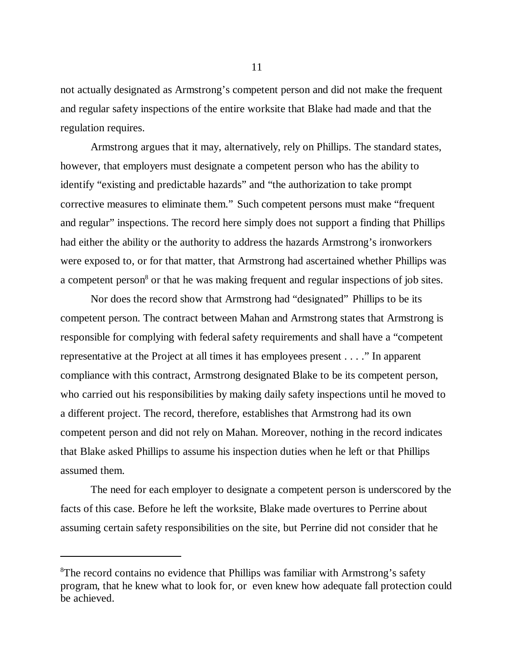not actually designated as Armstrong's competent person and did not make the frequent and regular safety inspections of the entire worksite that Blake had made and that the regulation requires.

Armstrong argues that it may, alternatively, rely on Phillips. The standard states, however, that employers must designate a competent person who has the ability to identify "existing and predictable hazards" and "the authorization to take prompt corrective measures to eliminate them." Such competent persons must make "frequent and regular" inspections. The record here simply does not support a finding that Phillips had either the ability or the authority to address the hazards Armstrong's ironworkers were exposed to, or for that matter, that Armstrong had ascertained whether Phillips was a competent person<sup>8</sup> or that he was making frequent and regular inspections of job sites.

Nor does the record show that Armstrong had "designated" Phillips to be its competent person. The contract between Mahan and Armstrong states that Armstrong is responsible for complying with federal safety requirements and shall have a "competent representative at the Project at all times it has employees present . . . ." In apparent compliance with this contract, Armstrong designated Blake to be its competent person, who carried out his responsibilities by making daily safety inspections until he moved to a different project. The record, therefore, establishes that Armstrong had its own competent person and did not rely on Mahan. Moreover, nothing in the record indicates that Blake asked Phillips to assume his inspection duties when he left or that Phillips assumed them.

The need for each employer to designate a competent person is underscored by the facts of this case. Before he left the worksite, Blake made overtures to Perrine about assuming certain safety responsibilities on the site, but Perrine did not consider that he

<sup>8</sup>The record contains no evidence that Phillips was familiar with Armstrong's safety program, that he knew what to look for, or even knew how adequate fall protection could be achieved.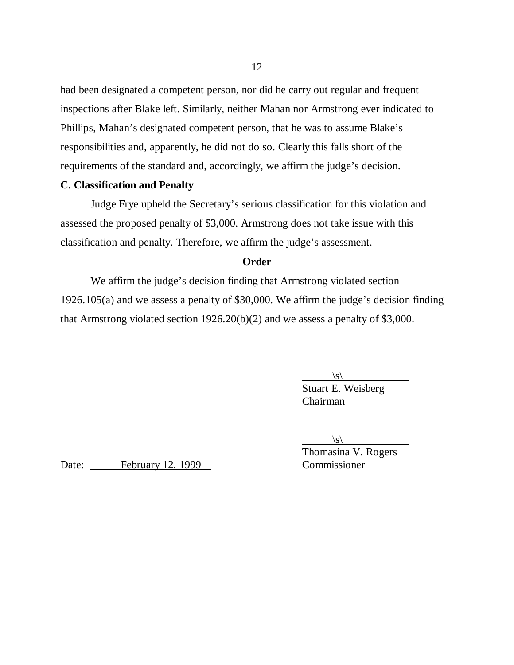had been designated a competent person, nor did he carry out regular and frequent inspections after Blake left. Similarly, neither Mahan nor Armstrong ever indicated to Phillips, Mahan's designated competent person, that he was to assume Blake's responsibilities and, apparently, he did not do so. Clearly this falls short of the requirements of the standard and, accordingly, we affirm the judge's decision.

## **C. Classification and Penalty**

Judge Frye upheld the Secretary's serious classification for this violation and assessed the proposed penalty of \$3,000. Armstrong does not take issue with this classification and penalty. Therefore, we affirm the judge's assessment.

## **Order**

We affirm the judge's decision finding that Armstrong violated section 1926.105(a) and we assess a penalty of \$30,000. We affirm the judge's decision finding that Armstrong violated section 1926.20(b)(2) and we assess a penalty of \$3,000.

 $\langle s \rangle$ 

Stuart E. Weisberg Chairman

 $\langle s \rangle$ 

Thomasina V. Rogers

Date: February 12, 1999 Commissioner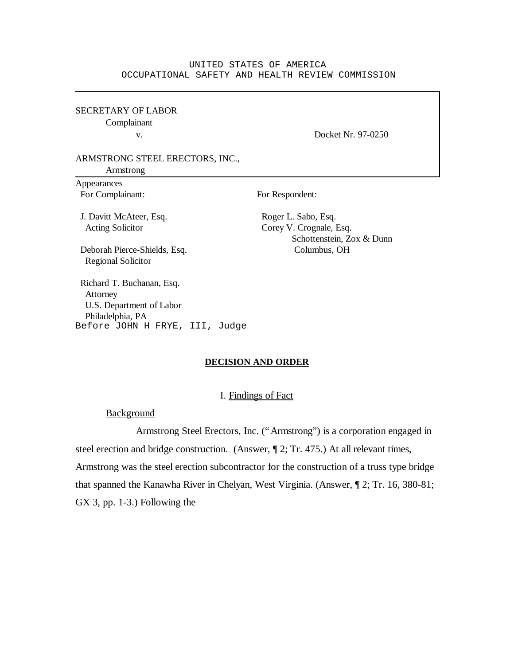#### UNITED STATES OF AMERICA OCCUPATIONAL SAFETY AND HEALTH REVIEW COMMISSION

SECRETARY OF LABOR Complainant

v. Docket Nr. 97-0250

### ARMSTRONG STEEL ERECTORS, INC.,

Armstrong

Appearances For Complainant: For Respondent:

J. Davitt McAteer, Esq. Roger L. Sabo, Esq.

Acting Solicitor Corey V. Crognale, Esq. Schottenstein, Zox & Dunn

 Deborah Pierce-Shields, Esq. Columbus, OH Regional Solicitor

 Richard T. Buchanan, Esq. Attorney U.S. Department of Labor Philadelphia, PA Before JOHN H FRYE, III, Judge

#### **DECISION AND ORDER**

#### I. Findings of Fact

Background

Armstrong Steel Erectors, Inc. ("Armstrong") is a corporation engaged in steel erection and bridge construction. (Answer, ¶ 2; Tr. 475.) At all relevant times, Armstrong was the steel erection subcontractor for the construction of a truss type bridge that spanned the Kanawha River in Chelyan, West Virginia. (Answer, ¶ 2; Tr. 16, 380-81; GX 3, pp. 1-3.) Following the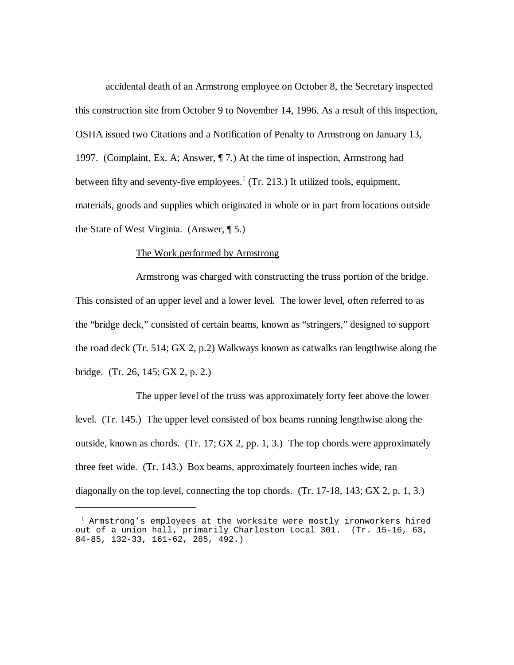accidental death of an Armstrong employee on October 8, the Secretary inspected this construction site from October 9 to November 14, 1996. As a result of this inspection, OSHA issued two Citations and a Notification of Penalty to Armstrong on January 13, 1997. (Complaint, Ex. A; Answer, ¶ 7.) At the time of inspection, Armstrong had between fifty and seventy-five employees.<sup>1</sup> (Tr. 213.) It utilized tools, equipment, materials, goods and supplies which originated in whole or in part from locations outside the State of West Virginia. (Answer, ¶ 5.)

#### The Work performed by Armstrong

Armstrong was charged with constructing the truss portion of the bridge. This consisted of an upper level and a lower level. The lower level, often referred to as the "bridge deck," consisted of certain beams, known as "stringers," designed to support the road deck (Tr. 514; GX 2, p.2) Walkways known as catwalks ran lengthwise along the bridge. (Tr. 26, 145; GX 2, p. 2.)

The upper level of the truss was approximately forty feet above the lower level. (Tr. 145.) The upper level consisted of box beams running lengthwise along the outside, known as chords. (Tr. 17; GX 2, pp. 1, 3.) The top chords were approximately three feet wide. (Tr. 143.) Box beams, approximately fourteen inches wide, ran diagonally on the top level, connecting the top chords. (Tr. 17-18, 143; GX 2, p. 1, 3.)

<sup>1</sup> Armstrong's employees at the worksite were mostly ironworkers hired out of a union hall, primarily Charleston Local 301. (Tr. 15-16, 63, 84-85, 132-33, 161-62, 285, 492.)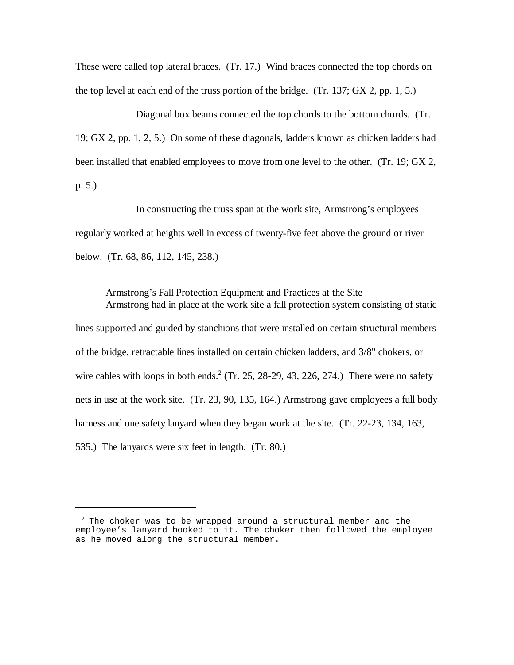These were called top lateral braces. (Tr. 17.) Wind braces connected the top chords on the top level at each end of the truss portion of the bridge. (Tr. 137; GX 2, pp. 1, 5.)

Diagonal box beams connected the top chords to the bottom chords. (Tr. 19; GX 2, pp. 1, 2, 5.) On some of these diagonals, ladders known as chicken ladders had been installed that enabled employees to move from one level to the other. (Tr. 19; GX 2, p. 5.)

In constructing the truss span at the work site, Armstrong's employees regularly worked at heights well in excess of twenty-five feet above the ground or river below. (Tr. 68, 86, 112, 145, 238.)

## Armstrong's Fall Protection Equipment and Practices at the Site Armstrong had in place at the work site a fall protection system consisting of static

lines supported and guided by stanchions that were installed on certain structural members of the bridge, retractable lines installed on certain chicken ladders, and 3/8" chokers, or wire cables with loops in both ends.<sup>2</sup> (Tr. 25, 28-29, 43, 226, 274.) There were no safety nets in use at the work site. (Tr. 23, 90, 135, 164.) Armstrong gave employees a full body harness and one safety lanyard when they began work at the site. (Tr. 22-23, 134, 163, 535.) The lanyards were six feet in length. (Tr. 80.)

 $2$  The choker was to be wrapped around a structural member and the employee's lanyard hooked to it. The choker then followed the employee as he moved along the structural member.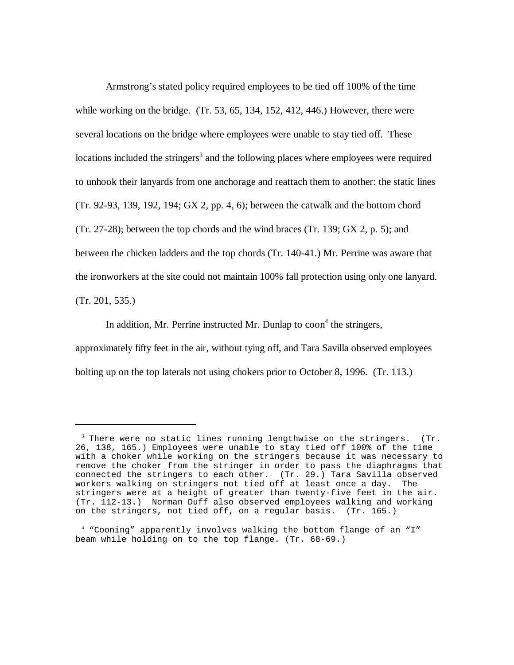Armstrong's stated policy required employees to be tied off 100% of the time while working on the bridge. (Tr. 53, 65, 134, 152, 412, 446.) However, there were several locations on the bridge where employees were unable to stay tied off. These locations included the stringers<sup>3</sup> and the following places where employees were required to unhook their lanyards from one anchorage and reattach them to another: the static lines (Tr. 92-93, 139, 192, 194; GX 2, pp. 4, 6); between the catwalk and the bottom chord  $(Tr. 27-28)$ ; between the top chords and the wind braces  $(Tr. 139; GX 2, p. 5)$ ; and between the chicken ladders and the top chords (Tr. 140-41.) Mr. Perrine was aware that the ironworkers at the site could not maintain 100% fall protection using only one lanyard. (Tr. 201, 535.)

In addition, Mr. Perrine instructed Mr. Dunlap to  $\text{coon}^4$  the stringers, approximately fifty feet in the air, without tying off, and Tara Savilla observed employees bolting up on the top laterals not using chokers prior to October 8, 1996. (Tr. 113.)

 $3$  There were no static lines running lengthwise on the stringers. (Tr. 26, 138, 165.) Employees were unable to stay tied off 100% of the time with a choker while working on the stringers because it was necessary to remove the choker from the stringer in order to pass the diaphragms that connected the stringers to each other. (Tr. 29.) Tara Savilla observed<br>workers walking on stringers not tied off at least once a day. The workers walking on stringers not tied off at least once a day. stringers were at a height of greater than twenty-five feet in the air. (Tr. 112-13.) Norman Duff also observed employees walking and working on the stringers, not tied off, on a regular basis. (Tr. 165.)

<sup>4</sup> "Cooning" apparently involves walking the bottom flange of an "I" beam while holding on to the top flange. (Tr. 68-69.)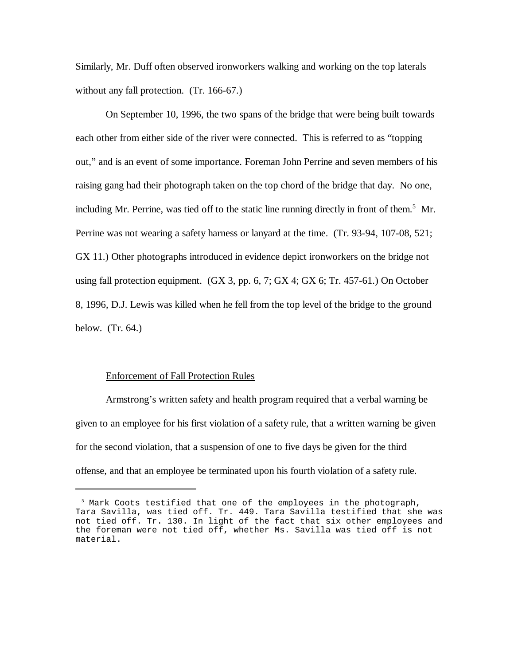Similarly, Mr. Duff often observed ironworkers walking and working on the top laterals without any fall protection. (Tr. 166-67.)

On September 10, 1996, the two spans of the bridge that were being built towards each other from either side of the river were connected. This is referred to as "topping out," and is an event of some importance. Foreman John Perrine and seven members of his raising gang had their photograph taken on the top chord of the bridge that day. No one, including Mr. Perrine, was tied off to the static line running directly in front of them.<sup>5</sup> Mr. Perrine was not wearing a safety harness or lanyard at the time. (Tr. 93-94, 107-08, 521; GX 11.) Other photographs introduced in evidence depict ironworkers on the bridge not using fall protection equipment. (GX 3, pp. 6, 7; GX 4; GX 6; Tr. 457-61.) On October 8, 1996, D.J. Lewis was killed when he fell from the top level of the bridge to the ground below. (Tr. 64.)

#### Enforcement of Fall Protection Rules

Armstrong's written safety and health program required that a verbal warning be given to an employee for his first violation of a safety rule, that a written warning be given for the second violation, that a suspension of one to five days be given for the third offense, and that an employee be terminated upon his fourth violation of a safety rule.

 $<sup>5</sup>$  Mark Coots testified that one of the employees in the photograph,</sup> Tara Savilla, was tied off. Tr. 449. Tara Savilla testified that she was not tied off. Tr. 130. In light of the fact that six other employees and the foreman were not tied off, whether Ms. Savilla was tied off is not material.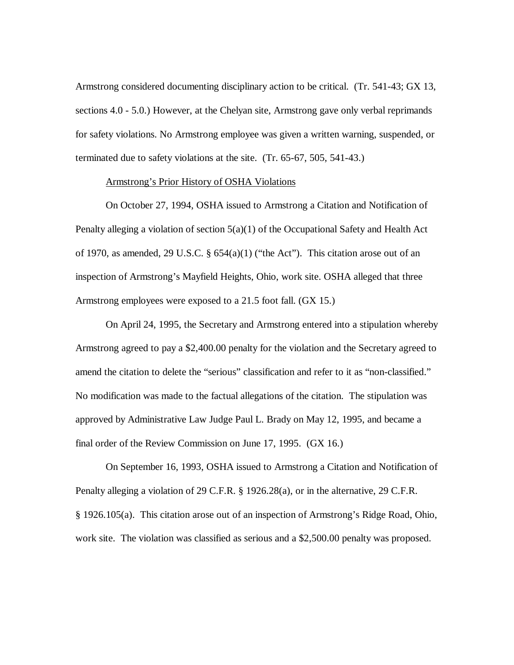Armstrong considered documenting disciplinary action to be critical. (Tr. 541-43; GX 13, sections 4.0 - 5.0.) However, at the Chelyan site, Armstrong gave only verbal reprimands for safety violations. No Armstrong employee was given a written warning, suspended, or terminated due to safety violations at the site. (Tr. 65-67, 505, 541-43.)

### Armstrong's Prior History of OSHA Violations

On October 27, 1994, OSHA issued to Armstrong a Citation and Notification of Penalty alleging a violation of section 5(a)(1) of the Occupational Safety and Health Act of 1970, as amended, 29 U.S.C.  $\S$  654(a)(1) ("the Act"). This citation arose out of an inspection of Armstrong's Mayfield Heights, Ohio, work site. OSHA alleged that three Armstrong employees were exposed to a 21.5 foot fall. (GX 15.)

On April 24, 1995, the Secretary and Armstrong entered into a stipulation whereby Armstrong agreed to pay a \$2,400.00 penalty for the violation and the Secretary agreed to amend the citation to delete the "serious" classification and refer to it as "non-classified." No modification was made to the factual allegations of the citation. The stipulation was approved by Administrative Law Judge Paul L. Brady on May 12, 1995, and became a final order of the Review Commission on June 17, 1995. (GX 16.)

On September 16, 1993, OSHA issued to Armstrong a Citation and Notification of Penalty alleging a violation of 29 C.F.R. § 1926.28(a), or in the alternative, 29 C.F.R. § 1926.105(a). This citation arose out of an inspection of Armstrong's Ridge Road, Ohio, work site. The violation was classified as serious and a \$2,500.00 penalty was proposed.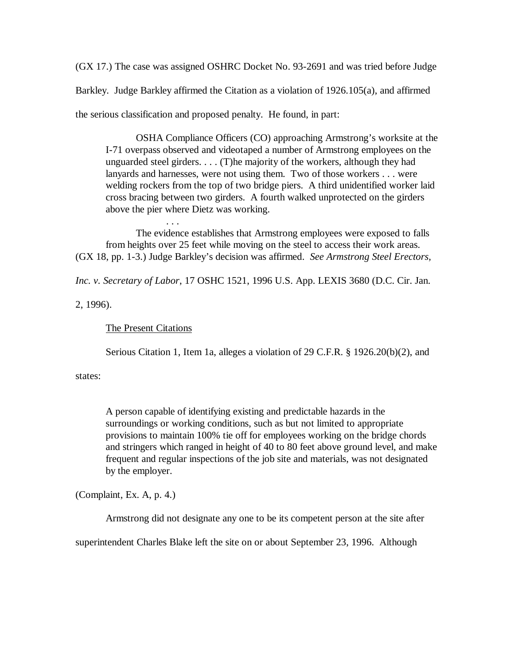(GX 17.) The case was assigned OSHRC Docket No. 93-2691 and was tried before Judge Barkley. Judge Barkley affirmed the Citation as a violation of 1926.105(a), and affirmed the serious classification and proposed penalty. He found, in part:

OSHA Compliance Officers (CO) approaching Armstrong's worksite at the I-71 overpass observed and videotaped a number of Armstrong employees on the unguarded steel girders. . . . (T)he majority of the workers, although they had lanyards and harnesses, were not using them. Two of those workers . . . were welding rockers from the top of two bridge piers. A third unidentified worker laid cross bracing between two girders. A fourth walked unprotected on the girders above the pier where Dietz was working.

The evidence establishes that Armstrong employees were exposed to falls from heights over 25 feet while moving on the steel to access their work areas. (GX 18, pp. 1-3.) Judge Barkley's decision was affirmed. *See Armstrong Steel Erectors,*

*Inc. v. Secretary of Labor*, 17 OSHC 1521, 1996 U.S. App. LEXIS 3680 (D.C. Cir. Jan.

2, 1996).

## The Present Citations

. . .

Serious Citation 1, Item 1a, alleges a violation of 29 C.F.R. § 1926.20(b)(2), and

states:

A person capable of identifying existing and predictable hazards in the surroundings or working conditions, such as but not limited to appropriate provisions to maintain 100% tie off for employees working on the bridge chords and stringers which ranged in height of 40 to 80 feet above ground level, and make frequent and regular inspections of the job site and materials, was not designated by the employer.

(Complaint, Ex. A, p. 4.)

Armstrong did not designate any one to be its competent person at the site after

superintendent Charles Blake left the site on or about September 23, 1996. Although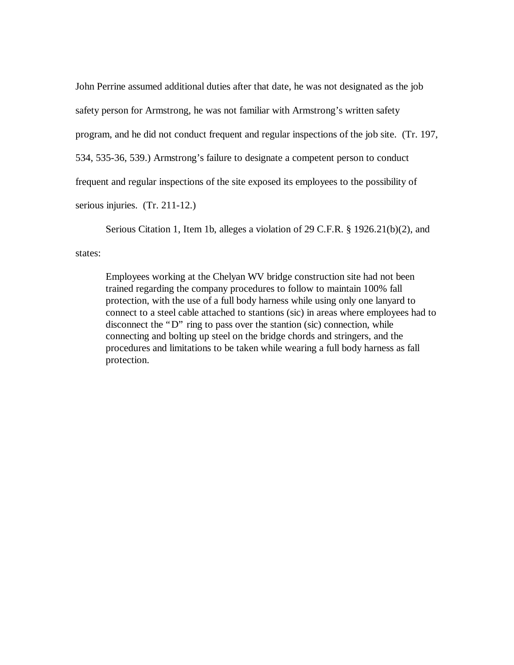John Perrine assumed additional duties after that date, he was not designated as the job safety person for Armstrong, he was not familiar with Armstrong's written safety program, and he did not conduct frequent and regular inspections of the job site. (Tr. 197, 534, 535-36, 539.) Armstrong's failure to designate a competent person to conduct frequent and regular inspections of the site exposed its employees to the possibility of serious injuries. (Tr. 211-12.)

Serious Citation 1, Item 1b, alleges a violation of 29 C.F.R. § 1926.21(b)(2), and

states:

Employees working at the Chelyan WV bridge construction site had not been trained regarding the company procedures to follow to maintain 100% fall protection, with the use of a full body harness while using only one lanyard to connect to a steel cable attached to stantions (sic) in areas where employees had to disconnect the "D" ring to pass over the stantion (sic) connection, while connecting and bolting up steel on the bridge chords and stringers, and the procedures and limitations to be taken while wearing a full body harness as fall protection.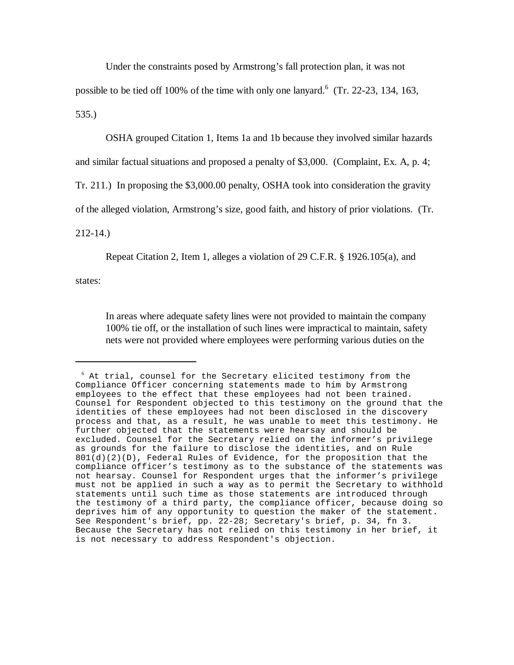Under the constraints posed by Armstrong's fall protection plan, it was not

possible to be tied off 100% of the time with only one lanyard.  $(Tr. 22-23, 134, 163,$ 

535.)

OSHA grouped Citation 1, Items 1a and 1b because they involved similar hazards

and similar factual situations and proposed a penalty of \$3,000. (Complaint, Ex. A, p. 4;

Tr. 211.) In proposing the \$3,000.00 penalty, OSHA took into consideration the gravity

of the alleged violation, Armstrong's size, good faith, and history of prior violations. (Tr.

212-14.)

Repeat Citation 2, Item 1, alleges a violation of 29 C.F.R. § 1926.105(a), and

states:

In areas where adequate safety lines were not provided to maintain the company 100% tie off, or the installation of such lines were impractical to maintain, safety nets were not provided where employees were performing various duties on the

 $6$  At trial, counsel for the Secretary elicited testimony from the Compliance Officer concerning statements made to him by Armstrong employees to the effect that these employees had not been trained. Counsel for Respondent objected to this testimony on the ground that the identities of these employees had not been disclosed in the discovery process and that, as a result, he was unable to meet this testimony. He further objected that the statements were hearsay and should be excluded. Counsel for the Secretary relied on the informer's privilege as grounds for the failure to disclose the identities, and on Rule  $801(d)(2)(D)$ , Federal Rules of Evidence, for the proposition that the compliance officer's testimony as to the substance of the statements was not hearsay. Counsel for Respondent urges that the informer's privilege must not be applied in such a way as to permit the Secretary to withhold statements until such time as those statements are introduced through the testimony of a third party, the compliance officer, because doing so deprives him of any opportunity to question the maker of the statement. See Respondent's brief, pp. 22-28; Secretary's brief, p. 34, fn 3. Because the Secretary has not relied on this testimony in her brief, it is not necessary to address Respondent's objection.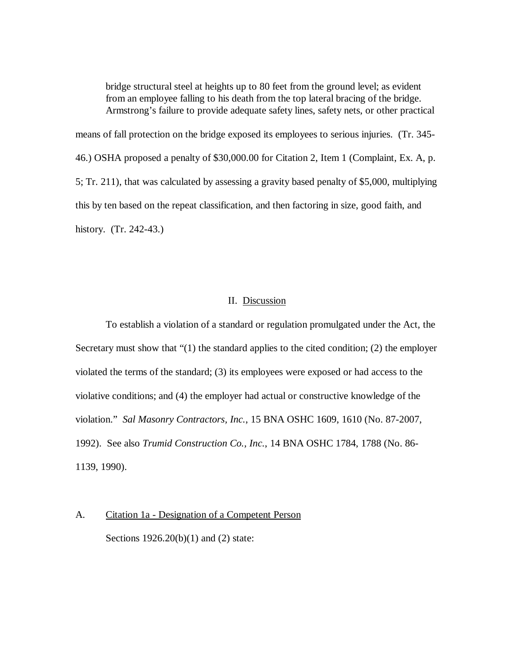bridge structural steel at heights up to 80 feet from the ground level; as evident from an employee falling to his death from the top lateral bracing of the bridge. Armstrong's failure to provide adequate safety lines, safety nets, or other practical

means of fall protection on the bridge exposed its employees to serious injuries. (Tr. 345- 46.) OSHA proposed a penalty of \$30,000.00 for Citation 2, Item 1 (Complaint, Ex. A, p. 5; Tr. 211), that was calculated by assessing a gravity based penalty of \$5,000, multiplying this by ten based on the repeat classification, and then factoring in size, good faith, and history. (Tr. 242-43.)

### II. Discussion

To establish a violation of a standard or regulation promulgated under the Act, the Secretary must show that "(1) the standard applies to the cited condition; (2) the employer violated the terms of the standard; (3) its employees were exposed or had access to the violative conditions; and (4) the employer had actual or constructive knowledge of the violation." *Sal Masonry Contractors, Inc.*, 15 BNA OSHC 1609, 1610 (No. 87-2007, 1992). See also *Trumid Construction Co., Inc.*, 14 BNA OSHC 1784, 1788 (No. 86- 1139, 1990).

A. Citation 1a - Designation of a Competent Person Sections 1926.20(b)(1) and (2) state: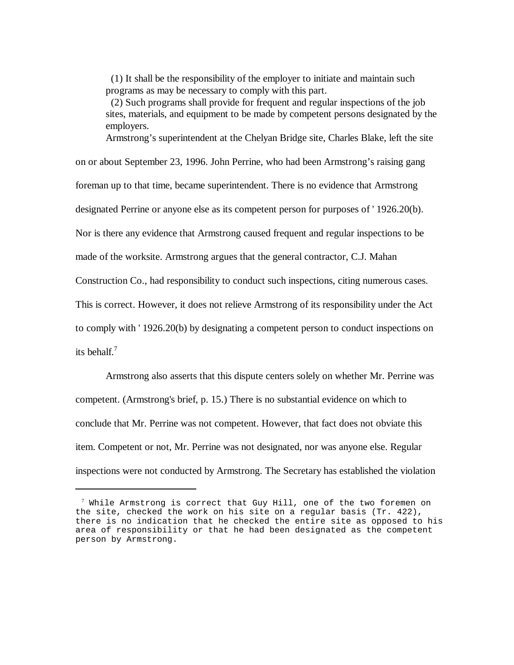(1) It shall be the responsibility of the employer to initiate and maintain such programs as may be necessary to comply with this part.

 (2) Such programs shall provide for frequent and regular inspections of the job sites, materials, and equipment to be made by competent persons designated by the employers.

Armstrong's superintendent at the Chelyan Bridge site, Charles Blake, left the site on or about September 23, 1996. John Perrine, who had been Armstrong's raising gang foreman up to that time, became superintendent. There is no evidence that Armstrong designated Perrine or anyone else as its competent person for purposes of ' 1926.20(b). Nor is there any evidence that Armstrong caused frequent and regular inspections to be made of the worksite. Armstrong argues that the general contractor, C.J. Mahan Construction Co., had responsibility to conduct such inspections, citing numerous cases. This is correct. However, it does not relieve Armstrong of its responsibility under the Act to comply with ' 1926.20(b) by designating a competent person to conduct inspections on its behalf.<sup>7</sup>

Armstrong also asserts that this dispute centers solely on whether Mr. Perrine was competent. (Armstrong's brief, p. 15.) There is no substantial evidence on which to conclude that Mr. Perrine was not competent. However, that fact does not obviate this item. Competent or not, Mr. Perrine was not designated, nor was anyone else. Regular inspections were not conducted by Armstrong. The Secretary has established the violation

 $7$  While Armstrong is correct that Guy Hill, one of the two foremen on the site, checked the work on his site on a regular basis (Tr. 422), there is no indication that he checked the entire site as opposed to his area of responsibility or that he had been designated as the competent person by Armstrong.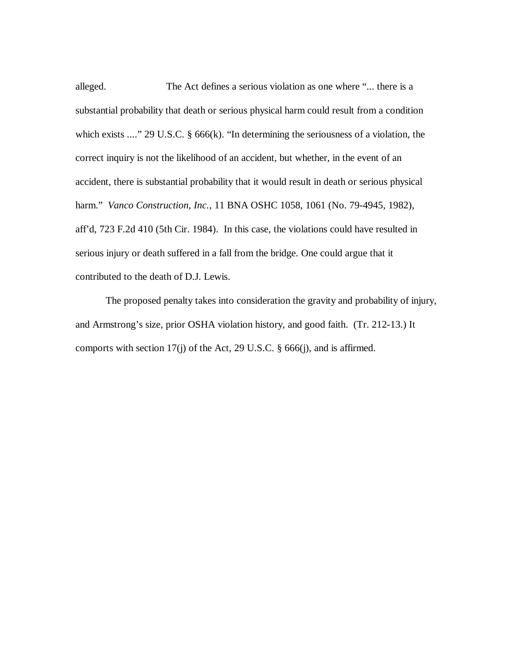alleged. The Act defines a serious violation as one where "... there is a substantial probability that death or serious physical harm could result from a condition which exists ...." 29 U.S.C. § 666(k). "In determining the seriousness of a violation, the correct inquiry is not the likelihood of an accident, but whether, in the event of an accident, there is substantial probability that it would result in death or serious physical harm." *Vanco Construction, Inc.*, 11 BNA OSHC 1058, 1061 (No. 79-4945, 1982), aff'd, 723 F.2d 410 (5th Cir. 1984). In this case, the violations could have resulted in serious injury or death suffered in a fall from the bridge. One could argue that it contributed to the death of D.J. Lewis.

The proposed penalty takes into consideration the gravity and probability of injury, and Armstrong's size, prior OSHA violation history, and good faith. (Tr. 212-13.) It comports with section 17(j) of the Act, 29 U.S.C. § 666(j), and is affirmed.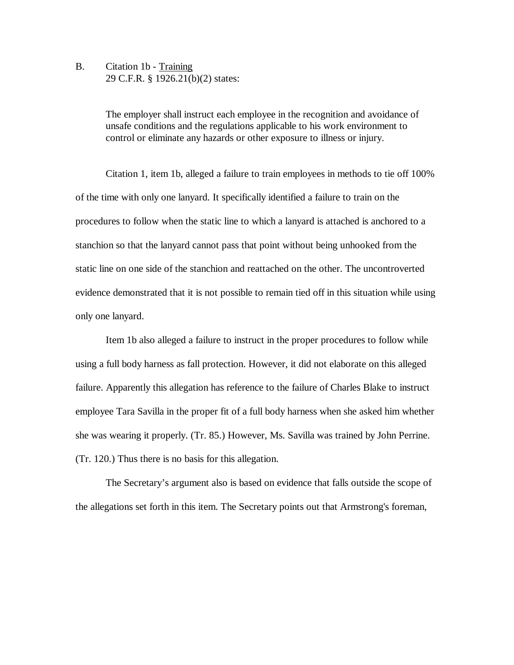B. Citation 1b - Training 29 C.F.R. § 1926.21(b)(2) states:

> The employer shall instruct each employee in the recognition and avoidance of unsafe conditions and the regulations applicable to his work environment to control or eliminate any hazards or other exposure to illness or injury.

Citation 1, item 1b, alleged a failure to train employees in methods to tie off 100% of the time with only one lanyard. It specifically identified a failure to train on the procedures to follow when the static line to which a lanyard is attached is anchored to a stanchion so that the lanyard cannot pass that point without being unhooked from the static line on one side of the stanchion and reattached on the other. The uncontroverted evidence demonstrated that it is not possible to remain tied off in this situation while using only one lanyard.

Item 1b also alleged a failure to instruct in the proper procedures to follow while using a full body harness as fall protection. However, it did not elaborate on this alleged failure. Apparently this allegation has reference to the failure of Charles Blake to instruct employee Tara Savilla in the proper fit of a full body harness when she asked him whether she was wearing it properly. (Tr. 85.) However, Ms. Savilla was trained by John Perrine. (Tr. 120.) Thus there is no basis for this allegation.

The Secretary's argument also is based on evidence that falls outside the scope of the allegations set forth in this item. The Secretary points out that Armstrong's foreman,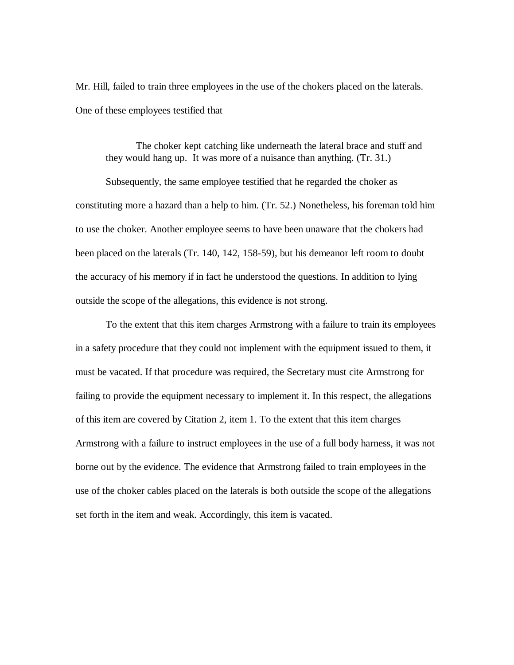Mr. Hill, failed to train three employees in the use of the chokers placed on the laterals. One of these employees testified that

The choker kept catching like underneath the lateral brace and stuff and they would hang up. It was more of a nuisance than anything. (Tr. 31.)

Subsequently, the same employee testified that he regarded the choker as constituting more a hazard than a help to him. (Tr. 52.) Nonetheless, his foreman told him to use the choker. Another employee seems to have been unaware that the chokers had been placed on the laterals (Tr. 140, 142, 158-59), but his demeanor left room to doubt the accuracy of his memory if in fact he understood the questions. In addition to lying outside the scope of the allegations, this evidence is not strong.

To the extent that this item charges Armstrong with a failure to train its employees in a safety procedure that they could not implement with the equipment issued to them, it must be vacated. If that procedure was required, the Secretary must cite Armstrong for failing to provide the equipment necessary to implement it. In this respect, the allegations of this item are covered by Citation 2, item 1. To the extent that this item charges Armstrong with a failure to instruct employees in the use of a full body harness, it was not borne out by the evidence. The evidence that Armstrong failed to train employees in the use of the choker cables placed on the laterals is both outside the scope of the allegations set forth in the item and weak. Accordingly, this item is vacated.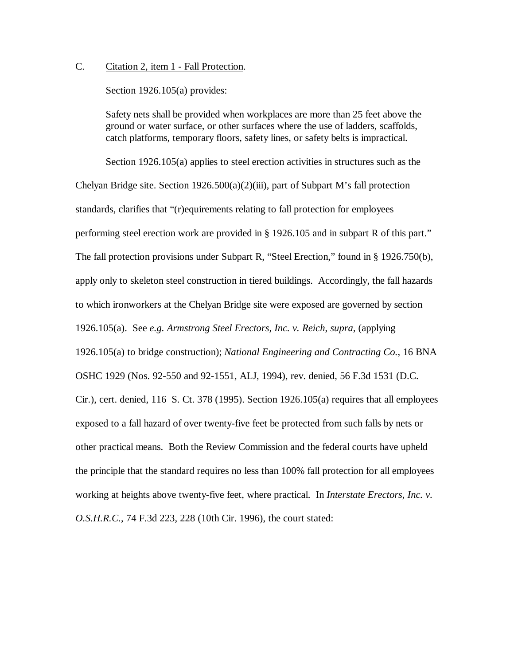## C. Citation 2, item 1 - Fall Protection.

Section 1926.105(a) provides:

Safety nets shall be provided when workplaces are more than 25 feet above the ground or water surface, or other surfaces where the use of ladders, scaffolds, catch platforms, temporary floors, safety lines, or safety belts is impractical.

Section 1926.105(a) applies to steel erection activities in structures such as the Chelyan Bridge site. Section  $1926.500(a)(2)(iii)$ , part of Subpart M's fall protection standards, clarifies that "(r)equirements relating to fall protection for employees performing steel erection work are provided in § 1926.105 and in subpart R of this part." The fall protection provisions under Subpart R, "Steel Erection," found in § 1926.750(b), apply only to skeleton steel construction in tiered buildings. Accordingly, the fall hazards to which ironworkers at the Chelyan Bridge site were exposed are governed by section 1926.105(a). See *e.g. Armstrong Steel Erectors, Inc. v. Reich*, *supra,* (applying 1926.105(a) to bridge construction); *National Engineering and Contracting Co.*, 16 BNA OSHC 1929 (Nos. 92-550 and 92-1551, ALJ, 1994), rev. denied, 56 F.3d 1531 (D.C. Cir.), cert. denied, 116 S. Ct. 378 (1995). Section 1926.105(a) requires that all employees exposed to a fall hazard of over twenty-five feet be protected from such falls by nets or other practical means. Both the Review Commission and the federal courts have upheld the principle that the standard requires no less than 100% fall protection for all employees working at heights above twenty-five feet, where practical. In *Interstate Erectors, Inc. v. O.S.H.R.C.*, 74 F.3d 223, 228 (10th Cir. 1996), the court stated: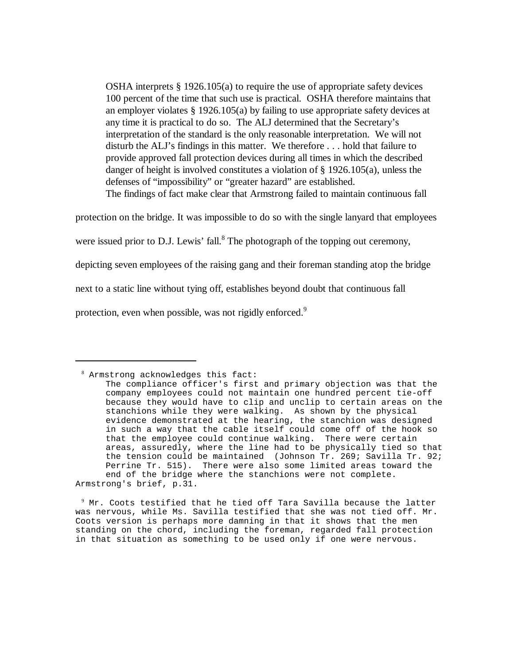OSHA interprets § 1926.105(a) to require the use of appropriate safety devices 100 percent of the time that such use is practical. OSHA therefore maintains that an employer violates § 1926.105(a) by failing to use appropriate safety devices at any time it is practical to do so. The ALJ determined that the Secretary's interpretation of the standard is the only reasonable interpretation. We will not disturb the ALJ's findings in this matter. We therefore . . . hold that failure to provide approved fall protection devices during all times in which the described danger of height is involved constitutes a violation of  $\S$  1926.105(a), unless the defenses of "impossibility" or "greater hazard" are established. The findings of fact make clear that Armstrong failed to maintain continuous fall

protection on the bridge. It was impossible to do so with the single lanyard that employees

were issued prior to D.J. Lewis' fall.<sup>8</sup> The photograph of the topping out ceremony,

depicting seven employees of the raising gang and their foreman standing atop the bridge

next to a static line without tying off, establishes beyond doubt that continuous fall

protection, even when possible, was not rigidly enforced.<sup>9</sup>

 $9$  Mr. Coots testified that he tied off Tara Savilla because the latter was nervous, while Ms. Savilla testified that she was not tied off. Mr. Coots version is perhaps more damning in that it shows that the men standing on the chord, including the foreman, regarded fall protection in that situation as something to be used only if one were nervous.

<sup>8</sup> Armstrong acknowledges this fact:

The compliance officer's first and primary objection was that the company employees could not maintain one hundred percent tie-off because they would have to clip and unclip to certain areas on the stanchions while they were walking. As shown by the physical evidence demonstrated at the hearing, the stanchion was designed in such a way that the cable itself could come off of the hook so that the employee could continue walking. There were certain areas, assuredly, where the line had to be physically tied so that the tension could be maintained (Johnson Tr. 269; Savilla Tr. 92; Perrine Tr. 515). There were also some limited areas toward the end of the bridge where the stanchions were not complete. Armstrong's brief, p.31.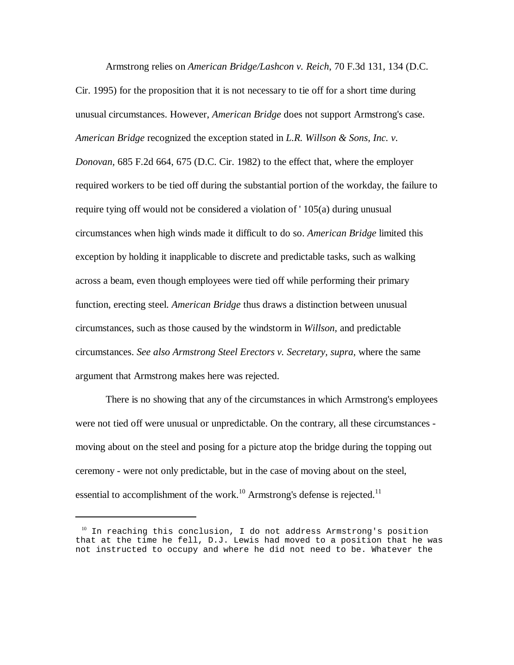Armstrong relies on *American Bridge/Lashcon v. Reich*, 70 F.3d 131, 134 (D.C.

Cir. 1995) for the proposition that it is not necessary to tie off for a short time during unusual circumstances. However, *American Bridge* does not support Armstrong's case. *American Bridge* recognized the exception stated in *L.R. Willson & Sons, Inc. v. Donovan,* 685 F.2d 664, 675 (D.C. Cir. 1982) to the effect that, where the employer required workers to be tied off during the substantial portion of the workday, the failure to require tying off would not be considered a violation of ' 105(a) during unusual circumstances when high winds made it difficult to do so. *American Bridge* limited this exception by holding it inapplicable to discrete and predictable tasks, such as walking across a beam, even though employees were tied off while performing their primary function, erecting steel. *American Bridge* thus draws a distinction between unusual circumstances, such as those caused by the windstorm in *Willson*, and predictable circumstances. *See also Armstrong Steel Erectors v. Secretary, supra,* where the same argument that Armstrong makes here was rejected.

There is no showing that any of the circumstances in which Armstrong's employees were not tied off were unusual or unpredictable. On the contrary, all these circumstances moving about on the steel and posing for a picture atop the bridge during the topping out ceremony - were not only predictable, but in the case of moving about on the steel, essential to accomplishment of the work.<sup>10</sup> Armstrong's defense is rejected.<sup>11</sup>

<sup>&</sup>lt;sup>10</sup> In reaching this conclusion, I do not address Armstrong's position that at the time he fell, D.J. Lewis had moved to a position that he was not instructed to occupy and where he did not need to be. Whatever the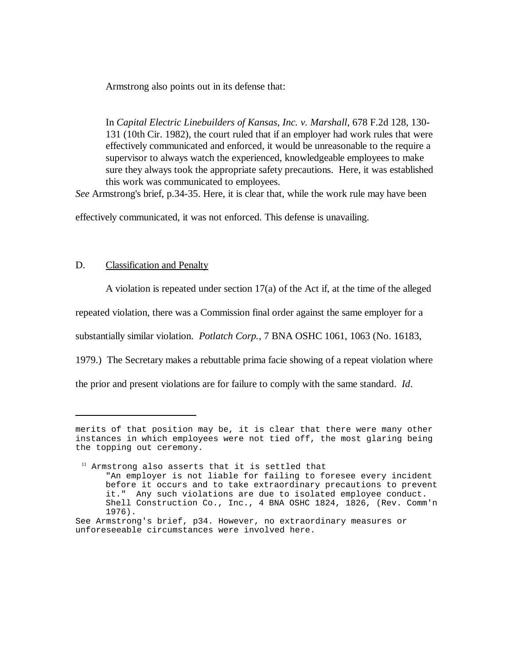Armstrong also points out in its defense that:

In *Capital Electric Linebuilders of Kansas, Inc. v. Marshall*, 678 F.2d 128, 130- 131 (10th Cir. 1982), the court ruled that if an employer had work rules that were effectively communicated and enforced, it would be unreasonable to the require a supervisor to always watch the experienced, knowledgeable employees to make sure they always took the appropriate safety precautions. Here, it was established this work was communicated to employees.

*See* Armstrong's brief, p.34-35. Here, it is clear that, while the work rule may have been

effectively communicated, it was not enforced. This defense is unavailing.

## D. Classification and Penalty

A violation is repeated under section 17(a) of the Act if, at the time of the alleged

repeated violation, there was a Commission final order against the same employer for a

substantially similar violation. *Potlatch Corp.*, 7 BNA OSHC 1061, 1063 (No. 16183,

1979.) The Secretary makes a rebuttable prima facie showing of a repeat violation where

the prior and present violations are for failure to comply with the same standard. *Id*.

merits of that position may be, it is clear that there were many other instances in which employees were not tied off, the most glaring being the topping out ceremony.

<sup>&</sup>lt;sup>11</sup> Armstrong also asserts that it is settled that "An employer is not liable for failing to foresee every incident before it occurs and to take extraordinary precautions to prevent it." Any such violations are due to isolated employee conduct. Shell Construction Co., Inc., 4 BNA OSHC 1824, 1826, (Rev. Comm'n 1976).

See Armstrong's brief, p34. However, no extraordinary measures or unforeseeable circumstances were involved here.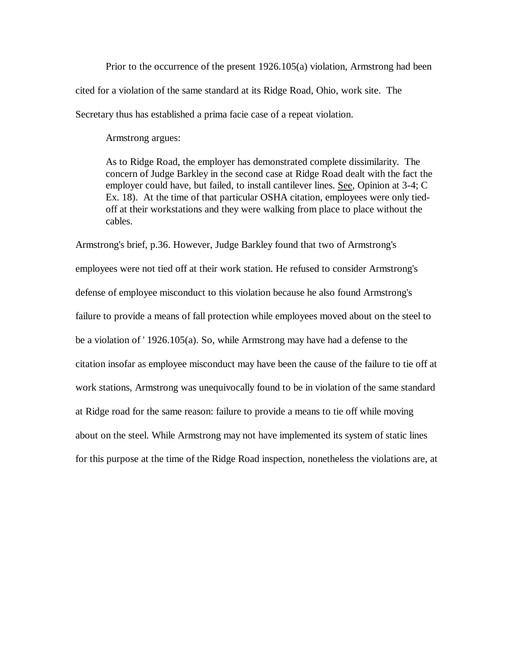Prior to the occurrence of the present 1926.105(a) violation, Armstrong had been cited for a violation of the same standard at its Ridge Road, Ohio, work site. The Secretary thus has established a prima facie case of a repeat violation.

Armstrong argues:

As to Ridge Road, the employer has demonstrated complete dissimilarity. The concern of Judge Barkley in the second case at Ridge Road dealt with the fact the employer could have, but failed, to install cantilever lines. See, Opinion at 3-4; C Ex. 18). At the time of that particular OSHA citation, employees were only tiedoff at their workstations and they were walking from place to place without the cables.

Armstrong's brief, p.36. However, Judge Barkley found that two of Armstrong's employees were not tied off at their work station. He refused to consider Armstrong's defense of employee misconduct to this violation because he also found Armstrong's failure to provide a means of fall protection while employees moved about on the steel to be a violation of ' 1926.105(a). So, while Armstrong may have had a defense to the citation insofar as employee misconduct may have been the cause of the failure to tie off at work stations, Armstrong was unequivocally found to be in violation of the same standard at Ridge road for the same reason: failure to provide a means to tie off while moving about on the steel. While Armstrong may not have implemented its system of static lines for this purpose at the time of the Ridge Road inspection, nonetheless the violations are, at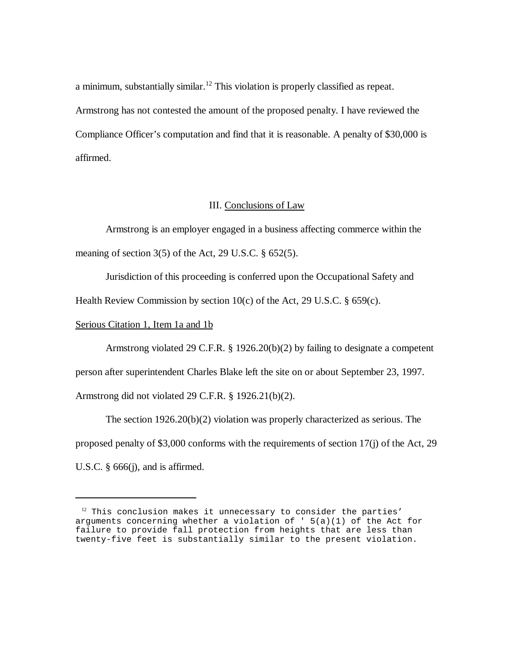a minimum, substantially similar.<sup>12</sup> This violation is properly classified as repeat. Armstrong has not contested the amount of the proposed penalty. I have reviewed the Compliance Officer's computation and find that it is reasonable. A penalty of \$30,000 is affirmed.

## III. Conclusions of Law

Armstrong is an employer engaged in a business affecting commerce within the meaning of section 3(5) of the Act, 29 U.S.C. § 652(5).

Jurisdiction of this proceeding is conferred upon the Occupational Safety and

Health Review Commission by section  $10(c)$  of the Act, 29 U.S.C. § 659(c).

### Serious Citation 1, Item 1a and 1b

Armstrong violated 29 C.F.R. § 1926.20(b)(2) by failing to designate a competent person after superintendent Charles Blake left the site on or about September 23, 1997. Armstrong did not violated 29 C.F.R. § 1926.21(b)(2).

The section 1926.20(b)(2) violation was properly characterized as serious. The proposed penalty of \$3,000 conforms with the requirements of section 17(j) of the Act, 29 U.S.C.  $\S$  666(j), and is affirmed.

 $12$  This conclusion makes it unnecessary to consider the parties' arguments concerning whether a violation of  $'$  5(a)(1) of the Act for failure to provide fall protection from heights that are less than twenty-five feet is substantially similar to the present violation.